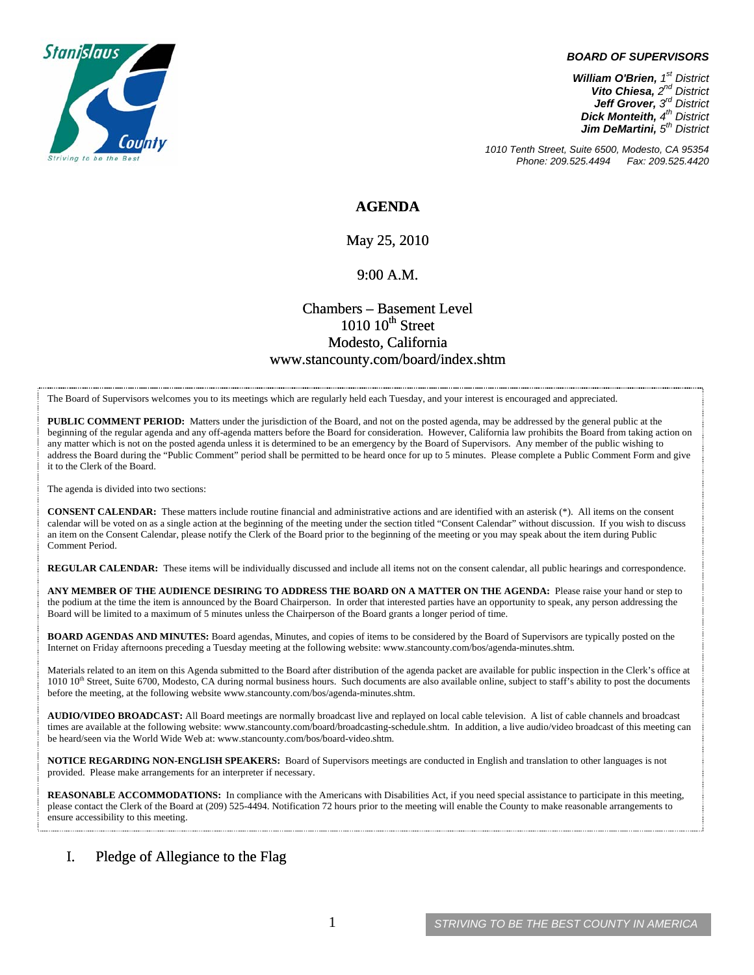

#### *BOARD OF SUPERVISORS*

*William O'Brien, 1st District Vito Chiesa, 2nd District Jeff Grover, 3rd District Dick Monteith, 4th District Jim DeMartini, 5th District*

*1010 Tenth Street, Suite 6500, Modesto, CA 95354 Phone: 209.525.4494* 

**AGENDA** 

May 25, 2010

#### 9:00 A.M.

# Chambers – Basement Level  $1010~10$ <sup>th</sup> Street Modesto, California www.stancounty.com/board/index.shtm

The Board of Supervisors welcomes you to its meetings which are regularly held each Tuesday, and your interest is encouraged and appreciated.

**PUBLIC COMMENT PERIOD:** Matters under the jurisdiction of the Board, and not on the posted agenda, may be addressed by the general public at the beginning of the regular agenda and any off-agenda matters before the Board for consideration. However, California law prohibits the Board from taking action on any matter which is not on the posted agenda unless it is determined to be an emergency by the Board of Supervisors. Any member of the public wishing to address the Board during the "Public Comment" period shall be permitted to be heard once for up to 5 minutes. Please complete a Public Comment Form and give it to the Clerk of the Board.

The agenda is divided into two sections:

**CONSENT CALENDAR:** These matters include routine financial and administrative actions and are identified with an asterisk (\*). All items on the consent calendar will be voted on as a single action at the beginning of the meeting under the section titled "Consent Calendar" without discussion. If you wish to discuss an item on the Consent Calendar, please notify the Clerk of the Board prior to the beginning of the meeting or you may speak about the item during Public Comment Period.

**REGULAR CALENDAR:** These items will be individually discussed and include all items not on the consent calendar, all public hearings and correspondence.

**ANY MEMBER OF THE AUDIENCE DESIRING TO ADDRESS THE BOARD ON A MATTER ON THE AGENDA:** Please raise your hand or step to the podium at the time the item is announced by the Board Chairperson. In order that interested parties have an opportunity to speak, any person addressing the Board will be limited to a maximum of 5 minutes unless the Chairperson of the Board grants a longer period of time.

**BOARD AGENDAS AND MINUTES:** Board agendas, Minutes, and copies of items to be considered by the Board of Supervisors are typically posted on the Internet on Friday afternoons preceding a Tuesday meeting at the following website: www.stancounty.com/bos/agenda-minutes.shtm.

Materials related to an item on this Agenda submitted to the Board after distribution of the agenda packet are available for public inspection in the Clerk's office at 1010 10<sup>th</sup> Street, Suite 6700, Modesto, CA during normal business hours. Such documents are also available online, subject to staff's ability to post the documents before the meeting, at the following website www.stancounty.com/bos/agenda-minutes.shtm.

**AUDIO/VIDEO BROADCAST:** All Board meetings are normally broadcast live and replayed on local cable television. A list of cable channels and broadcast times are available at the following website: www.stancounty.com/board/broadcasting-schedule.shtm. In addition, a live audio/video broadcast of this meeting can be heard/seen via the World Wide Web at: www.stancounty.com/bos/board-video.shtm.

**NOTICE REGARDING NON-ENGLISH SPEAKERS:** Board of Supervisors meetings are conducted in English and translation to other languages is not provided. Please make arrangements for an interpreter if necessary.

**REASONABLE ACCOMMODATIONS:** In compliance with the Americans with Disabilities Act, if you need special assistance to participate in this meeting, please contact the Clerk of the Board at (209) 525-4494. Notification 72 hours prior to the meeting will enable the County to make reasonable arrangements to ensure accessibility to this meeting.

### I. Pledge of Allegiance to the Flag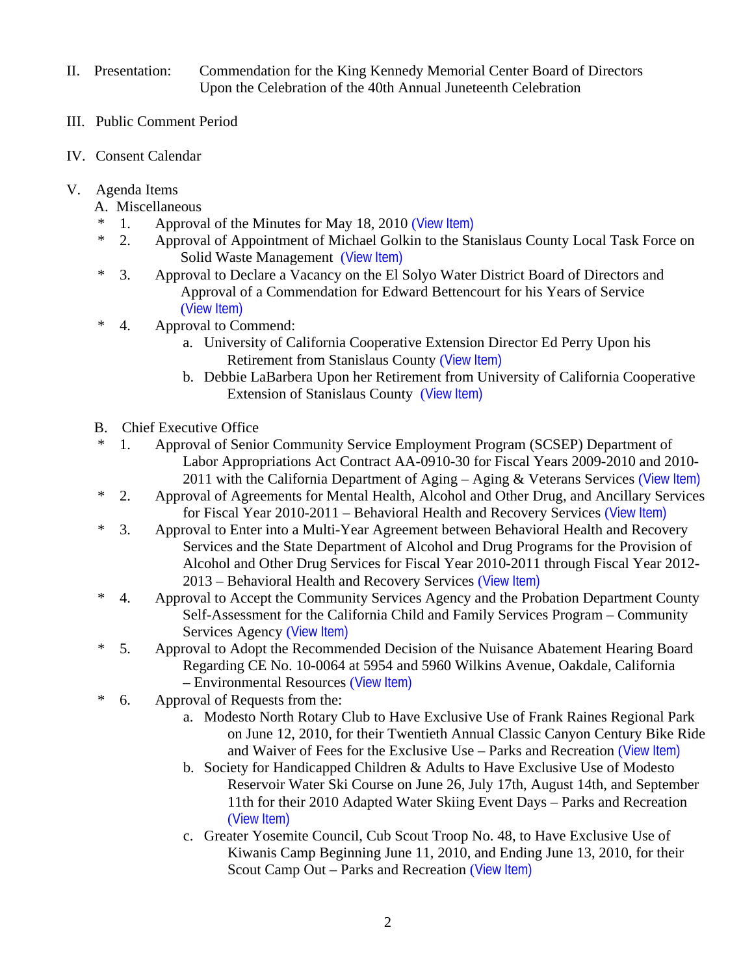- II. Presentation: Commendation for the King Kennedy Memorial Center Board of Directors Upon the Celebration of the 40th Annual Juneteenth Celebration
- III. Public Comment Period
- IV. Consent Calendar
- V. Agenda Items
	- A. Miscellaneous
	- \* 1. Approval of the Minutes for May 18, 2010 ([View Item\)](http://www.stancounty.com/bos/minutes/2010/min05-18-10.pdf)
	- \* 2. Approval of Appointment of Michael Golkin to the Stanislaus County Local Task Force on Solid Waste Management ([View Item\)](http://www.stancounty.com/bos/agenda/2010/20100525/A02.pdf)
	- \* 3. Approval to Declare a Vacancy on the El Solyo Water District Board of Directors and Approval of a Commendation for Edward Bettencourt for his Years of Service ([View Item\)](http://www.stancounty.com/bos/agenda/2010/20100525/A03.pdf)
	- \* 4. Approval to Commend:
		- a. University of California Cooperative Extension Director Ed Perry Upon his Retirement from Stanislaus County ([View Item\)](http://www.stancounty.com/bos/agenda/2010/20100525/A04a.pdf)
		- b. Debbie LaBarbera Upon her Retirement from University of California Cooperative Extension of Stanislaus County ([View Item\)](http://www.stancounty.com/bos/agenda/2010/20100525/A04b.pdf)
	- B. Chief Executive Office
	- \* 1. Approval of Senior Community Service Employment Program (SCSEP) Department of Labor Appropriations Act Contract AA-0910-30 for Fiscal Years 2009-2010 and 2010- 2011 with the California Department of Aging – Aging & Veterans Services ([View Item\)](http://www.stancounty.com/bos/agenda/2010/20100525/B01.pdf)
	- \* 2. Approval of Agreements for Mental Health, Alcohol and Other Drug, and Ancillary Services for Fiscal Year 2010-2011 – Behavioral Health and Recovery Services ([View Item\)](http://www.stancounty.com/bos/agenda/2010/20100525/B02.pdf)
	- \* 3. Approval to Enter into a Multi-Year Agreement between Behavioral Health and Recovery Services and the State Department of Alcohol and Drug Programs for the Provision of Alcohol and Other Drug Services for Fiscal Year 2010-2011 through Fiscal Year 2012- 2013 – Behavioral Health and Recovery Services ([View Item\)](http://www.stancounty.com/bos/agenda/2010/20100525/B03.pdf)
	- \* 4. Approval to Accept the Community Services Agency and the Probation Department County Self-Assessment for the California Child and Family Services Program – Community Services Agency ([View Item\)](http://www.stancounty.com/bos/agenda/2010/20100525/B04.pdf)
	- \* 5. Approval to Adopt the Recommended Decision of the Nuisance Abatement Hearing Board Regarding CE No. 10-0064 at 5954 and 5960 Wilkins Avenue, Oakdale, California – Environmental Resources ([View Item\)](http://www.stancounty.com/bos/agenda/2010/20100525/B05.pdf)
	- \* 6. Approval of Requests from the:
		- a. Modesto North Rotary Club to Have Exclusive Use of Frank Raines Regional Park on June 12, 2010, for their Twentieth Annual Classic Canyon Century Bike Ride and Waiver of Fees for the Exclusive Use – Parks and Recreation ([View Item\)](http://www.stancounty.com/bos/agenda/2010/20100525/B06a.pdf)
		- b. Society for Handicapped Children & Adults to Have Exclusive Use of Modesto Reservoir Water Ski Course on June 26, July 17th, August 14th, and September 11th for their 2010 Adapted Water Skiing Event Days – Parks and Recreation ([View Item\)](http://www.stancounty.com/bos/agenda/2010/20100525/B06b.pdf)
		- c. Greater Yosemite Council, Cub Scout Troop No. 48, to Have Exclusive Use of Kiwanis Camp Beginning June 11, 2010, and Ending June 13, 2010, for their Scout Camp Out – Parks and Recreation ([View Item\)](http://www.stancounty.com/bos/agenda/2010/20100525/B06c.pdf)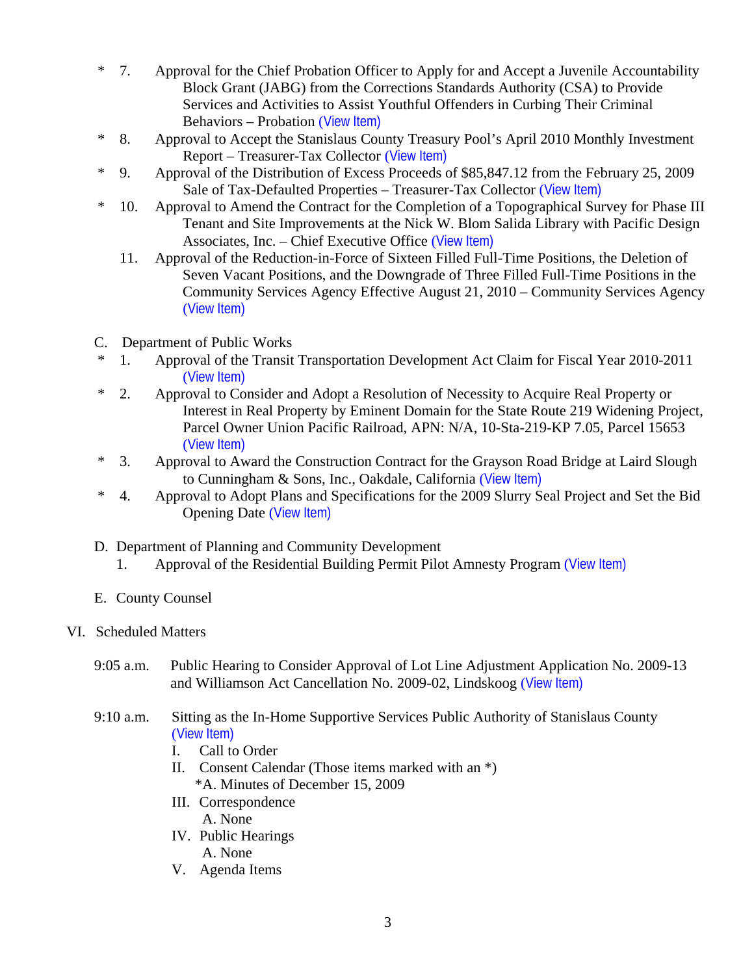- \* 7. Approval for the Chief Probation Officer to Apply for and Accept a Juvenile Accountability Block Grant (JABG) from the Corrections Standards Authority (CSA) to Provide Services and Activities to Assist Youthful Offenders in Curbing Their Criminal Behaviors – Probation ([View Item\)](http://www.stancounty.com/bos/agenda/2010/20100525/B07.pdf)
- \* 8. Approval to Accept the Stanislaus County Treasury Pool's April 2010 Monthly Investment Report – Treasurer-Tax Collector ([View Item\)](http://www.stancounty.com/bos/agenda/2010/20100525/B08.pdf)
- \* 9. Approval of the Distribution of Excess Proceeds of \$85,847.12 from the February 25, 2009 Sale of Tax-Defaulted Properties – Treasurer-Tax Collector ([View Item\)](http://www.stancounty.com/bos/agenda/2010/20100525/B09.pdf)
- \* 10. Approval to Amend the Contract for the Completion of a Topographical Survey for Phase III Tenant and Site Improvements at the Nick W. Blom Salida Library with Pacific Design Associates, Inc. – Chief Executive Office ([View Item\)](http://www.stancounty.com/bos/agenda/2010/20100525/B10.pdf)
	- 11. Approval of the Reduction-in-Force of Sixteen Filled Full-Time Positions, the Deletion of Seven Vacant Positions, and the Downgrade of Three Filled Full-Time Positions in the Community Services Agency Effective August 21, 2010 – Community Services Agency ([View Item\)](http://www.stancounty.com/bos/agenda/2010/20100525/B11.pdf)
- C. Department of Public Works
- 1. Approval of the Transit Transportation Development Act Claim for Fiscal Year 2010-2011 ([View Item\)](http://www.stancounty.com/bos/agenda/2010/20100525/C01.pdf)
- \* 2. Approval to Consider and Adopt a Resolution of Necessity to Acquire Real Property or Interest in Real Property by Eminent Domain for the State Route 219 Widening Project, Parcel Owner Union Pacific Railroad, APN: N/A, 10-Sta-219-KP 7.05, Parcel 15653 ([View Item\)](http://www.stancounty.com/bos/agenda/2010/20100525/C02.pdf)
- \* 3. Approval to Award the Construction Contract for the Grayson Road Bridge at Laird Slough to Cunningham & Sons, Inc., Oakdale, California ([View Item\)](http://www.stancounty.com/bos/agenda/2010/20100525/C03.pdf)
- \* 4. Approval to Adopt Plans and Specifications for the 2009 Slurry Seal Project and Set the Bid Opening Date ([View Item\)](http://www.stancounty.com/bos/agenda/2010/20100525/C04.pdf)
- D. Department of Planning and Community Development
	- 1. Approval of the Residential Building Permit Pilot Amnesty Program ([View Item\)](http://www.stancounty.com/bos/agenda/2010/20100525/D01.pdf)
- E. County Counsel

# VI. Scheduled Matters

- 9:05 a.m. Public Hearing to Consider Approval of Lot Line Adjustment Application No. 2009-13 and Williamson Act Cancellation No. 2009-02, Lindskoog ([View Item\)](http://www.stancounty.com/bos/agenda/2010/20100525/PH905.pdf)
- 9:10 a.m. Sitting as the In-Home Supportive Services Public Authority of Stanislaus County ([View Item\)](http://www.stancounty.com/bos/agenda/2010/20100525/PH910.pdf)
	- I. Call to Order
	- II. Consent Calendar (Those items marked with an \*) \*A. Minutes of December 15, 2009
	- III. Correspondence A. None
	- IV. Public Hearings A. None
	- V. Agenda Items